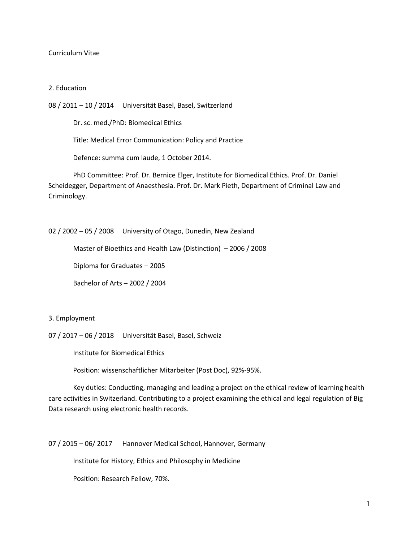#### Curriculum Vitae

#### 2. Education

08 / 2011 – 10 / 2014 Universität Basel, Basel, Switzerland

Dr. sc. med./PhD: Biomedical Ethics

Title: Medical Error Communication: Policy and Practice

Defence: summa cum laude, 1 October 2014.

PhD Committee: Prof. Dr. Bernice Elger, Institute for Biomedical Ethics. Prof. Dr. Daniel Scheidegger, Department of Anaesthesia. Prof. Dr. Mark Pieth, Department of Criminal Law and Criminology.

02 / 2002 – 05 / 2008 University of Otago, Dunedin, New Zealand

Master of Bioethics and Health Law (Distinction) – 2006 / 2008

Diploma for Graduates – 2005

Bachelor of Arts – 2002 / 2004

3. Employment

07 / 2017 – 06 / 2018 Universität Basel, Basel, Schweiz

Institute for Biomedical Ethics

Position: wissenschaftlicher Mitarbeiter (Post Doc), 92%-95%.

Key duties: Conducting, managing and leading a project on the ethical review of learning health care activities in Switzerland. Contributing to a project examining the ethical and legal regulation of Big Data research using electronic health records.

07 / 2015 – 06/ 2017 Hannover Medical School, Hannover, Germany

Institute for History, Ethics and Philosophy in Medicine

Position: Research Fellow, 70%.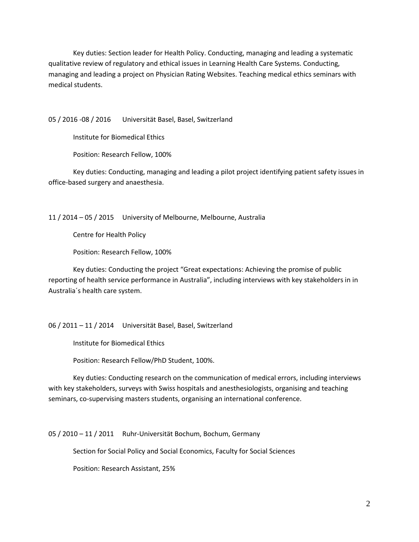Key duties: Section leader for Health Policy. Conducting, managing and leading a systematic qualitative review of regulatory and ethical issues in Learning Health Care Systems. Conducting, managing and leading a project on Physician Rating Websites. Teaching medical ethics seminars with medical students.

05 / 2016 -08 / 2016 Universität Basel, Basel, Switzerland

Institute for Biomedical Ethics

Position: Research Fellow, 100%

Key duties: Conducting, managing and leading a pilot project identifying patient safety issues in office-based surgery and anaesthesia.

11 / 2014 – 05 / 2015 University of Melbourne, Melbourne, Australia

Centre for Health Policy

Position: Research Fellow, 100%

Key duties: Conducting the project "Great expectations: Achieving the promise of public reporting of health service performance in Australia", including interviews with key stakeholders in in Australia´s health care system.

06 / 2011 – 11 / 2014 Universität Basel, Basel, Switzerland

Institute for Biomedical Ethics

Position: Research Fellow/PhD Student, 100%.

Key duties: Conducting research on the communication of medical errors, including interviews with key stakeholders, surveys with Swiss hospitals and anesthesiologists, organising and teaching seminars, co-supervising masters students, organising an international conference.

05 / 2010 – 11 / 2011 Ruhr-Universität Bochum, Bochum, Germany

Section for Social Policy and Social Economics, Faculty for Social Sciences

Position: Research Assistant, 25%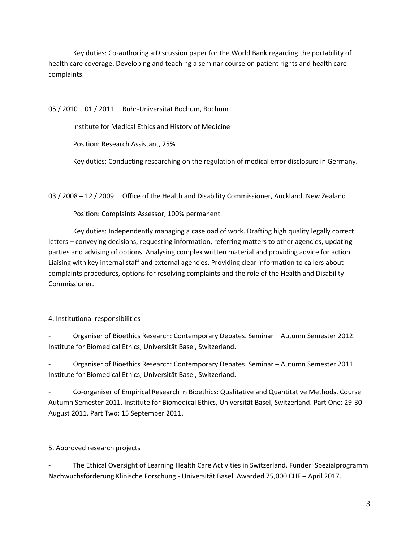Key duties: Co-authoring a Discussion paper for the World Bank regarding the portability of health care coverage. Developing and teaching a seminar course on patient rights and health care complaints.

05 / 2010 – 01 / 2011 Ruhr-Universität Bochum, Bochum

Institute for Medical Ethics and History of Medicine

Position: Research Assistant, 25%

Key duties: Conducting researching on the regulation of medical error disclosure in Germany.

03 / 2008 – 12 / 2009 Office of the Health and Disability Commissioner, Auckland, New Zealand

Position: Complaints Assessor, 100% permanent

Key duties: Independently managing a caseload of work. Drafting high quality legally correct letters – conveying decisions, requesting information, referring matters to other agencies, updating parties and advising of options. Analysing complex written material and providing advice for action. Liaising with key internal staff and external agencies. Providing clear information to callers about complaints procedures, options for resolving complaints and the role of the Health and Disability Commissioner.

4. Institutional responsibilities

- Organiser of Bioethics Research: Contemporary Debates. Seminar – Autumn Semester 2012. Institute for Biomedical Ethics, Universität Basel, Switzerland.

- Organiser of Bioethics Research: Contemporary Debates. Seminar – Autumn Semester 2011. Institute for Biomedical Ethics, Universität Basel, Switzerland.

Co-organiser of Empirical Research in Bioethics: Qualitative and Quantitative Methods. Course -Autumn Semester 2011. Institute for Biomedical Ethics, Universität Basel, Switzerland. Part One: 29-30 August 2011. Part Two: 15 September 2011.

5. Approved research projects

The Ethical Oversight of Learning Health Care Activities in Switzerland. Funder: Spezialprogramm Nachwuchsförderung Klinische Forschung - Universität Basel. Awarded 75,000 CHF – April 2017.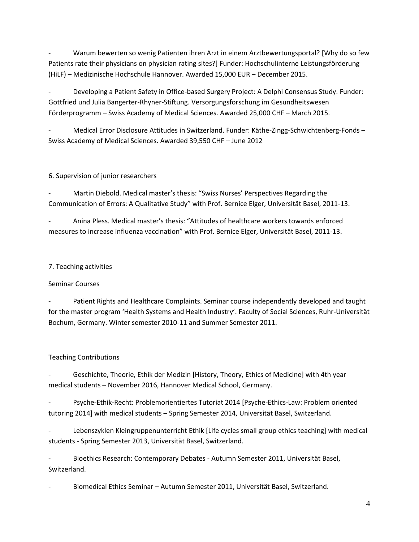Warum bewerten so wenig Patienten ihren Arzt in einem Arztbewertungsportal? [Why do so few Patients rate their physicians on physician rating sites?] Funder: Hochschulinterne Leistungsförderung (HiLF) – Medizinische Hochschule Hannover. Awarded 15,000 EUR – December 2015.

- Developing a Patient Safety in Office-based Surgery Project: A Delphi Consensus Study. Funder: Gottfried und Julia Bangerter-Rhyner-Stiftung. Versorgungsforschung im Gesundheitswesen Förderprogramm – Swiss Academy of Medical Sciences. Awarded 25,000 CHF – March 2015.

- Medical Error Disclosure Attitudes in Switzerland. Funder: Käthe-Zingg-Schwichtenberg-Fonds – Swiss Academy of Medical Sciences. Awarded 39,550 CHF – June 2012

## 6. Supervision of junior researchers

- Martin Diebold. Medical master's thesis: "Swiss Nurses' Perspectives Regarding the Communication of Errors: A Qualitative Study" with Prof. Bernice Elger, Universität Basel, 2011-13.

- Anina Pless. Medical master's thesis: "Attitudes of healthcare workers towards enforced measures to increase influenza vaccination" with Prof. Bernice Elger, Universität Basel, 2011-13.

## 7. Teaching activities

# Seminar Courses

Patient Rights and Healthcare Complaints. Seminar course independently developed and taught for the master program 'Health Systems and Health Industry'. Faculty of Social Sciences, Ruhr-Universität Bochum, Germany. Winter semester 2010-11 and Summer Semester 2011.

# Teaching Contributions

Geschichte, Theorie, Ethik der Medizin [History, Theory, Ethics of Medicine] with 4th year medical students – November 2016, Hannover Medical School, Germany.

Psyche-Ethik-Recht: Problemorientiertes Tutoriat 2014 [Psyche-Ethics-Law: Problem oriented tutoring 2014] with medical students – Spring Semester 2014, Universität Basel, Switzerland.

Lebenszyklen Kleingruppenunterricht Ethik [Life cycles small group ethics teaching] with medical students - Spring Semester 2013, Universität Basel, Switzerland.

- Bioethics Research: Contemporary Debates - Autumn Semester 2011, Universität Basel, Switzerland.

- Biomedical Ethics Seminar – Autumn Semester 2011, Universität Basel, Switzerland.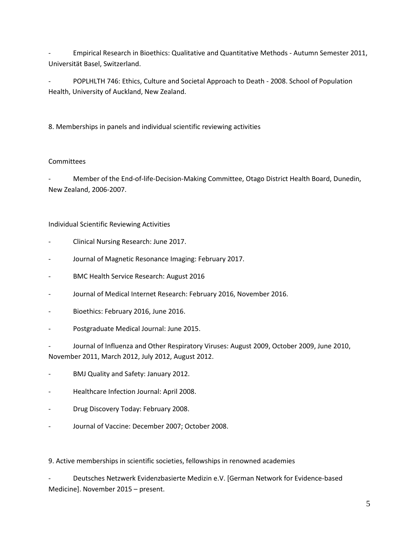- Empirical Research in Bioethics: Qualitative and Quantitative Methods - Autumn Semester 2011, Universität Basel, Switzerland.

- POPLHLTH 746: Ethics, Culture and Societal Approach to Death - 2008. School of Population Health, University of Auckland, New Zealand.

8. Memberships in panels and individual scientific reviewing activities

### **Committees**

Member of the End-of-life-Decision-Making Committee, Otago District Health Board, Dunedin, New Zealand, 2006-2007.

Individual Scientific Reviewing Activities

- Clinical Nursing Research: June 2017.
- Journal of Magnetic Resonance Imaging: February 2017.
- BMC Health Service Research: August 2016
- Journal of Medical Internet Research: February 2016, November 2016.
- Bioethics: February 2016, June 2016.
- Postgraduate Medical Journal: June 2015.

Journal of Influenza and Other Respiratory Viruses: August 2009, October 2009, June 2010, November 2011, March 2012, July 2012, August 2012.

- BMJ Quality and Safety: January 2012.
- Healthcare Infection Journal: April 2008.
- Drug Discovery Today: February 2008.
- Journal of Vaccine: December 2007; October 2008.

9. Active memberships in scientific societies, fellowships in renowned academies

- Deutsches Netzwerk Evidenzbasierte Medizin e.V. [German Network for Evidence-based Medicine]. November 2015 – present.